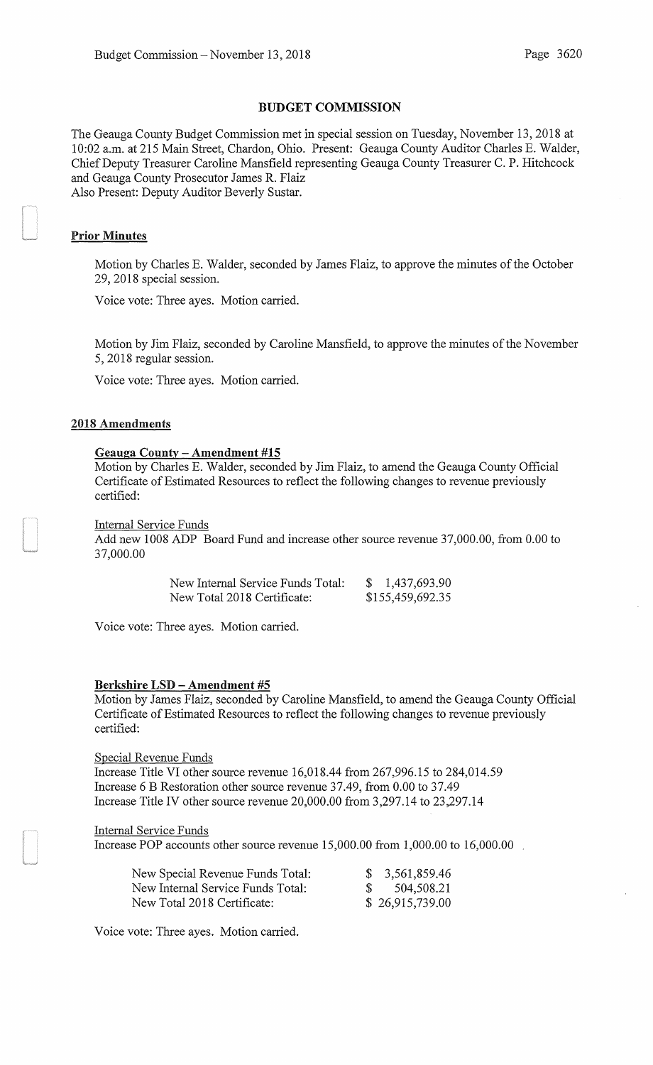### BUDGET COMMISSION

The Geauga County Budget Commission met in special session on Tuesday, November 13,2018 at 10:02 a.m. at 215 Main Street, Chardon, Ohio. Present: Geauga County Auditor Charles E. Walder, Chief Deputy Treasurer Caroline Mansfield representing Geauga County Treasurer C. P. Hitchcock and Geauga County Prosecutor James R. Flaiz Also Present: Deputy Auditor Beverly Sustar.

### Prior Minutes

Motion by Charles E. Walder, seconded by James Flaiz, to approve the minutes of the October 29, 2018 special session.

Voice vote: Three ayes. Motion carried.

Motion by Jim Flaiz, seconded by Caroline Mansfield, to approve the minutes of the November 5, 2018 regular session.

Voice vote: Three ayes. Motion carried.

### 2018 Amendments

#### Geauga County- Amendment #15

Motion by Charles E. Walder, seconded by Jim Flaiz, to amend the Geauga County Official Certificate of Estimated Resources to reflect the following changes to revenue previously certified:

#### Internal Service Funds

Add new 1008 ADP Board Fund and increase other source revenue 37,000.00, from 0.00 to 37,000.00

| New Internal Service Funds Total: | 1,437,693.90     |
|-----------------------------------|------------------|
| New Total 2018 Certificate:       | \$155,459,692.35 |

Voice vote: Three ayes. Motion carried.

#### Berkshire LSD - Amendment #5

Motion by James Flaiz, seconded by Caroline Mansfield, to amend the Geauga County Official Certificate of Estimated Resources to reflect the following changes to revenue previously certified:

Special Revenue Funds Increase Title VI other source revenue 16,018.44 from 267,996.15 to 284,014.59 Increase 6 B Restoration other source revenue 37.49, from 0.00 to 37.49 Increase Title IV other source revenue 20,000.00 from 3,297.14 to 23,297.14

#### Internal Service Funds

Increase POP accounts other source revenue 15,000.00 from 1,000.00 to 16,000.00

| New Special Revenue Funds Total:  | \$3,561,859.46  |
|-----------------------------------|-----------------|
| New Internal Service Funds Total: | \$504,508.21    |
| New Total 2018 Certificate:       | \$26,915,739.00 |

Voice vote: Three ayes. Motion carried.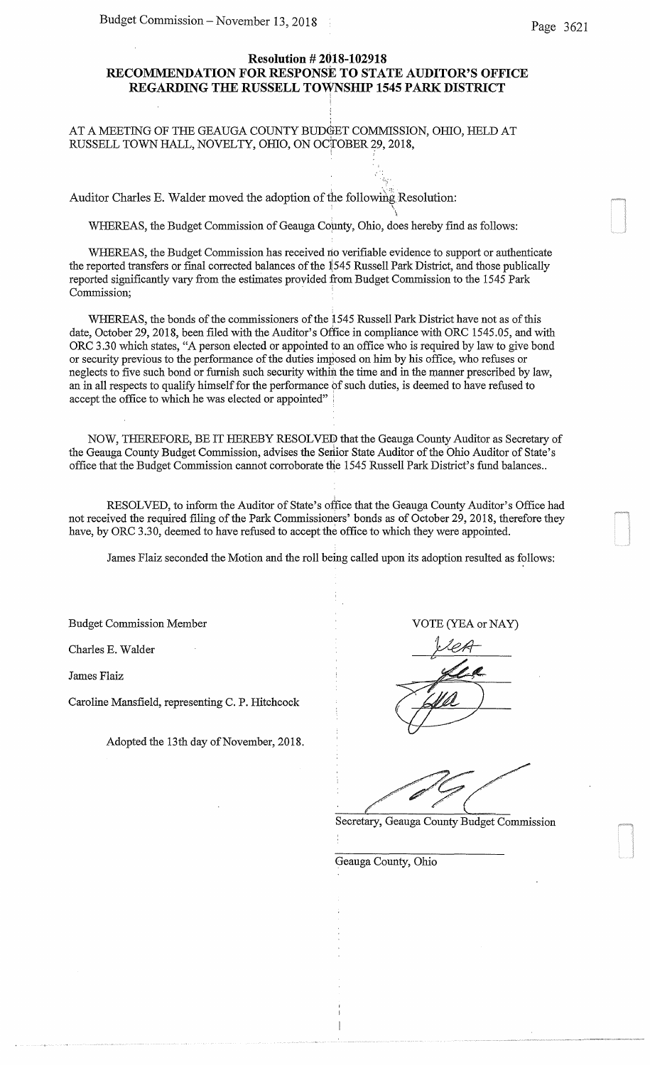# **Resolution # 2018-102918 RECOMMENDATION FOR RESPONSE TO STATE AUDITOR'S OFFICE**  REGARDING THE RUSSELL TOWNSHIP 1545 PARK DISTRICT

; .  $\mathcal{L}_{\mathbf{r},\mathbf{r}}$  .

. The same  $\Delta$ 

## AT A MEETING OF THE GEAUGA COUNTY BUDGET COMMISSION, OHIO, HELD AT RUSSELL TOWN HALL, NOVELTY, OHIO, ON OCTOBER 29, 2018,

Auditor Charles E. Walder moved the adoption of the following Resolution:

WHEREAS, the Budget Commission of Geauga County, Ohio, does hereby find as follows:

WHEREAS, the Budget Commission has received no verifiable evidence to support or authenticate the reported transfers or final corrected balances of the  $1545$  Russell Park District, and those publically reported significantly vary from the estimates provided from Budget Commission to the 1545 Park Commission;

WHEREAS, the bonds of the commissioners of the 1545 Russell Park District have not as of this date, October 29, 2018, been filed with the Auditor's Office in compliance with ORC 1545.05, and with ORC 3.30 which states, "A person elected or appointed to an office who is required by law to give bond or security previous to the performance of the duties imposed on him by his office, who refuses or neglects to five such bond or furnish such security within the time and in the manner prescribed by law, an in all respects to qualify himself for the performance of such duties, is deemed to have refused to accept the office to which he was elected or appointed"

NOW, THEREFORE, BE IT HEREBY RESOLVED that the Geauga County Auditor as Secretary of the Geauga County Budget Commission, advises the Serior State Auditor of the Ohio Auditor of State's office that the Budget Commission cannot corroborate the 1545 Russell Park District's fund balances ..

RESOLVED, to inform the Auditor of State's office that the Geauga County Auditor's Office had not received the required filing of the Park Commissioners' bonds as of October 29, 2018, therefore they have, by ORC 3.30, deemed to have refused to accept the office to which they were appointed.

James Flaiz seconded the Motion and the roll being called upon its adoption resulted as follows:

Budget Commission Member VOTE (YEA or NAY)

Charles E. Walder

James Flaiz

Caroline Mansfield, representing C. P. Hitchcock

Adopted the 13th day of November, 2018.

Secretary, Geauga County Budget Commission

Geauga County, Ohio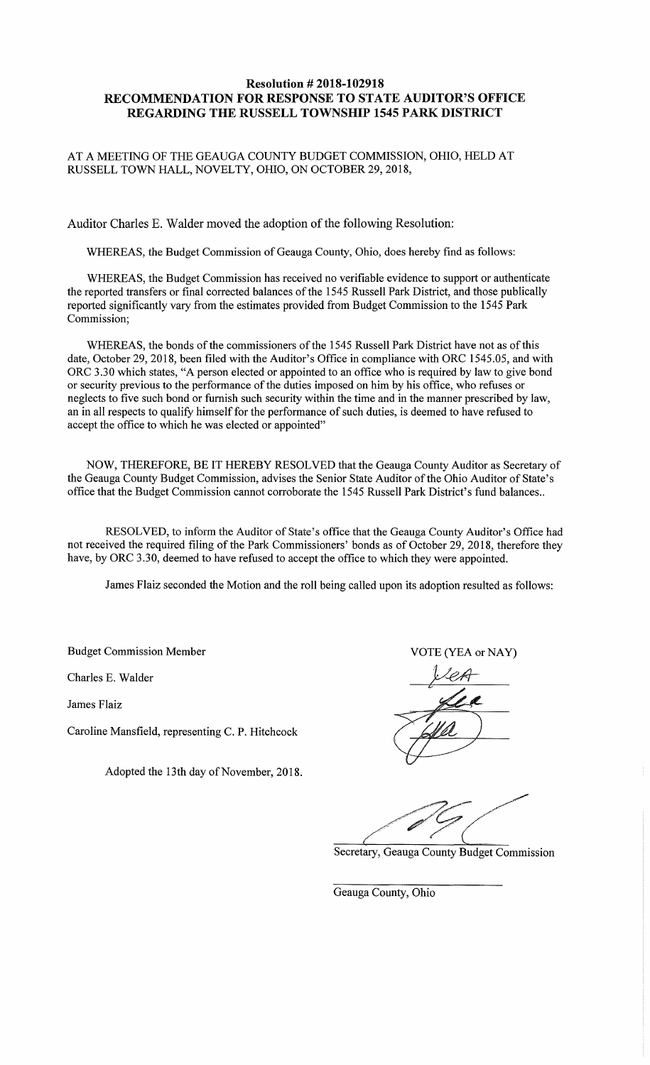# **Resolution# 2018-102918 RECOMMENDATION FOR RESPONSE TO STATE AUDITOR'S OFFICE REGARDING THE RUSSELL TOWNSHIP 1545 PARK DISTRICT**

## AT A MEETING OF THE GEAUGA COUNTY BUDGET COMMISSION, OHIO, HELD AT RUSSELL TOWN HALL, NOVELTY, OHIO, ON OCTOBER 29, 2018,

Auditor Charles E. Walder moved the adoption of the following Resolution:

WHEREAS, the Budget Commission of Geauga County, Ohio, does hereby find as follows:

WHEREAS, the Budget Commission has received no verifiable evidence to support or authenticate the reported transfers or final corrected balances of the 1545 Russell Park District, and those publically reported significantly vary from the estimates provided from Budget Commission to the 1545 Park Commission;

WHEREAS, the bonds of the commissioners of the 1545 Russell Park District have not as of this date, October 29, 2018, been filed with the Auditor's Office in compliance with ORC 1545.05, and with ORC 3.30 which states, "A person elected or appointed to an office who is required by law to give bond or security previous to the performance of the duties imposed on him by his office, who refuses or neglects to five such bond or furnish such security within the time and in the manner prescribed by law, an in all respects to qualify himself for the performance of such duties, is deemed to have refused to accept the office to which he was elected or appointed"

NOW, THEREFORE, BE IT HEREBY RESOLVED that the Geauga County Auditor as Secretary of the Geauga County Budget Commission, advises the Senior State Auditor of the Ohio Auditor of State's office that the Budget Commission cannot corroborate the 1545 Russell Park District's fund balances ..

RESOLVED, to inform the Auditor of State's office that the Geauga County Auditor's Office had not received the required filing of the Park Commissioners' bonds as of October 29, 2018, therefore they have, by ORC 3.30, deemed to have refused to accept the office to which they were appointed.

James Flaiz seconded the Motion and the roll being called upon its adoption resulted as follows:

Budget Commission Member VOTE (YEA or NAY)

Charles E. Walder

James Flaiz

Caroline Mansfield, representing C. P. Hitchcock

Adopted the 13th day of November, 2018.

Secretary, Geauga County Budget Commission

Geauga County, Ohio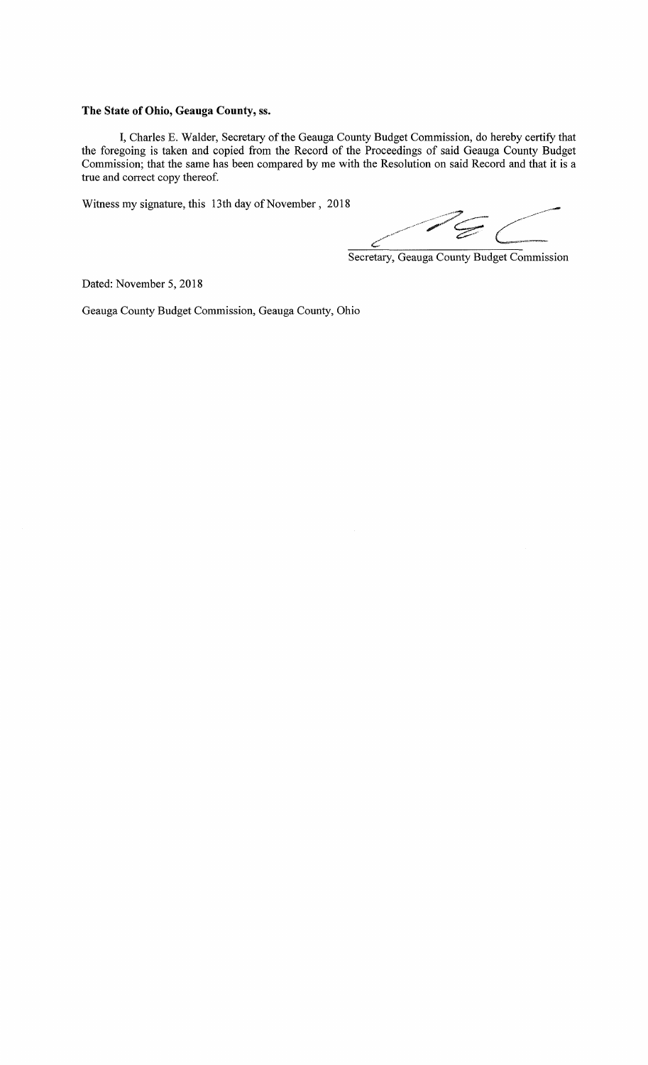### **The State of Ohio, Geauga County,** ss.

I, Charles E. Walder, Secretary of the Geauga County Budget Commission, do hereby certify that the foregoing is taken and copied from the Record of the Proceedings of said Geauga County Budget Commission; that the same has been compared by me with the Resolution on said Record and that it is a true and correct copy thereof.

Witness my signature, this 13th day of November, 2018

Secretary, Geauga County Budget Commission

Dated: November 5, 2018

Geauga County Budget Commission, Geauga County, Ohio